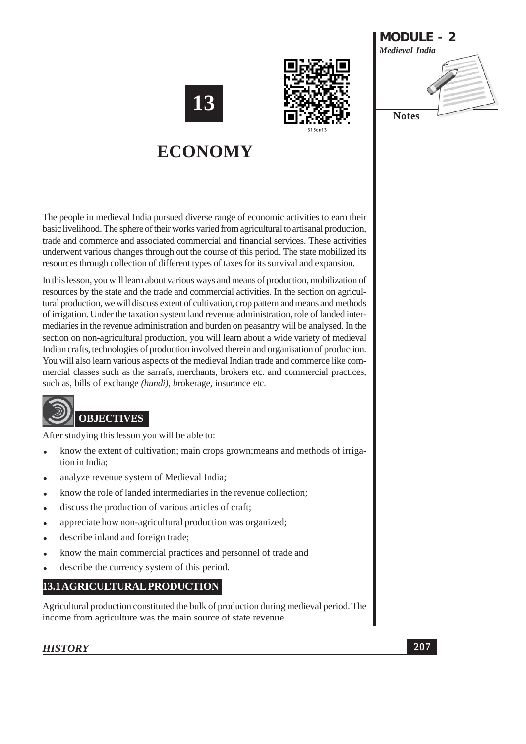



**MODULE - 2 Medieval India Notes** 

# **ECONOMY**

The people in medieval India pursued diverse range of economic activities to earn their basic livelihood. The sphere of their works varied from agricultural to artisanal production. trade and commerce and associated commercial and financial services. These activities underwent various changes through out the course of this period. The state mobilized its resources through collection of different types of taxes for its survival and expansion.

In this lesson, you will learn about various ways and means of production, mobilization of resources by the state and the trade and commercial activities. In the section on agricultural production, we will discuss extent of cultivation, crop pattern and means and methods of irrigation. Under the taxation system land revenue administration, role of landed intermediaries in the revenue administration and burden on peasantry will be analysed. In the section on non-agricultural production, you will learn about a wide variety of medieval Indian crafts, technologies of production involved therein and organisation of production. You will also learn various aspects of the medieval Indian trade and commerce like commercial classes such as the sarrafs, merchants, brokers etc. and commercial practices, such as, bills of exchange *(hundi)*, *brokerage*, insurance etc.



After studying this lesson you will be able to:

- know the extent of cultivation; main crops grown; means and methods of irriga- $\bullet$ tion in India:
- analyze revenue system of Medieval India;
- know the role of landed intermediaries in the revenue collection;
- discuss the production of various articles of craft;
- appreciate how non-agricultural production was organized;
- describe inland and foreign trade;
- know the main commercial practices and personnel of trade and
- describe the currency system of this period.

# 13.1 AGRICULTURAL PRODUCTION

Agricultural production constituted the bulk of production during medieval period. The income from agriculture was the main source of state revenue.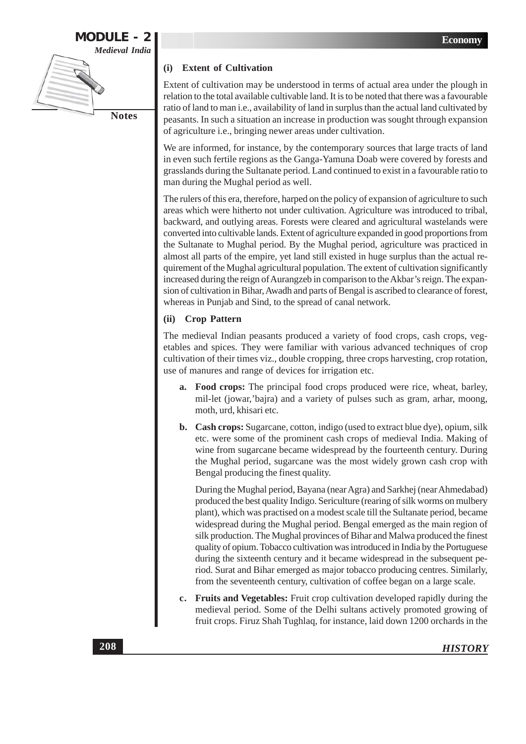

# (i) Extent of Cultivation

Extent of cultivation may be understood in terms of actual area under the plough in relation to the total available cultivable land. It is to be noted that there was a favourable ratio of land to man i.e., availability of land in surplus than the actual land cultivated by peasants. In such a situation an increase in production was sought through expansion of agriculture i.e., bringing newer areas under cultivation.

We are informed, for instance, by the contemporary sources that large tracts of land in even such fertile regions as the Ganga-Yamuna Doab were covered by forests and grasslands during the Sultanate period. Land continued to exist in a favourable ratio to man during the Mughal period as well.

The rulers of this era, therefore, harped on the policy of expansion of agriculture to such areas which were hitherto not under cultivation. Agriculture was introduced to tribal, backward, and outlying areas. Forests were cleared and agricultural wastelands were converted into cultivable lands. Extent of agriculture expanded in good proportions from the Sultanate to Mughal period. By the Mughal period, agriculture was practiced in almost all parts of the empire, yet land still existed in huge surplus than the actual requirement of the Mughal agricultural population. The extent of cultivation significantly increased during the reign of Aurangzeb in comparison to the Akbar's reign. The expansion of cultivation in Bihar, Awadh and parts of Bengal is ascribed to clearance of forest, whereas in Punjab and Sind, to the spread of canal network.

#### **Crop Pattern**  $(ii)$

The medieval Indian peasants produced a variety of food crops, cash crops, vegetables and spices. They were familiar with various advanced techniques of crop cultivation of their times viz., double cropping, three crops harvesting, crop rotation, use of manures and range of devices for irrigation etc.

- a. Food crops: The principal food crops produced were rice, wheat, barley, mil-let (jowar, bajra) and a variety of pulses such as gram, arhar, moong, moth, urd, khisari etc.
- b. Cash crops: Sugarcane, cotton, indigo (used to extract blue dye), opium, silk etc. were some of the prominent cash crops of medieval India. Making of wine from sugarcane became widespread by the fourteenth century. During the Mughal period, sugarcane was the most widely grown cash crop with Bengal producing the finest quality.

During the Mughal period, Bayana (near Agra) and Sarkhej (near Ahmedabad) produced the best quality Indigo. Sericulture (rearing of silk worms on mulbery plant), which was practised on a modest scale till the Sultanate period, became widespread during the Mughal period. Bengal emerged as the main region of silk production. The Mughal provinces of Bihar and Malwa produced the finest quality of opium. Tobacco cultivation was introduced in India by the Portuguese during the sixteenth century and it became widespread in the subsequent period. Surat and Bihar emerged as major tobacco producing centres. Similarly, from the seventeenth century, cultivation of coffee began on a large scale.

c. Fruits and Vegetables: Fruit crop cultivation developed rapidly during the medieval period. Some of the Delhi sultans actively promoted growing of fruit crops. Firuz Shah Tughlaq, for instance, laid down 1200 orchards in the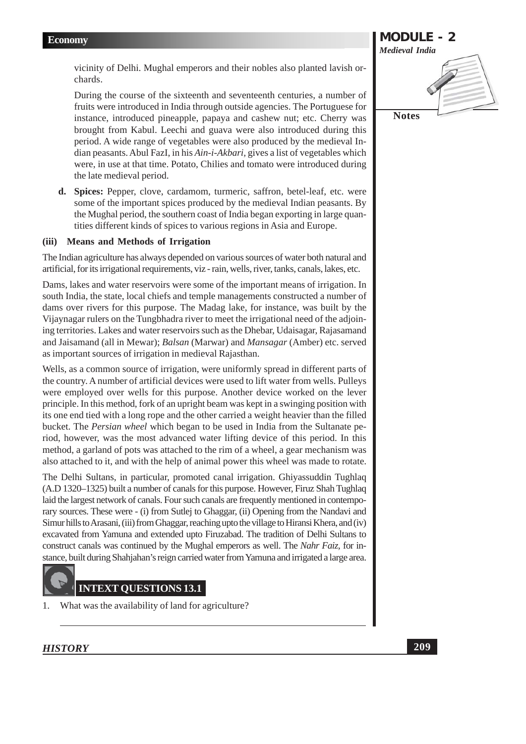vicinity of Delhi. Mughal emperors and their nobles also planted lavish orchards.

During the course of the sixteenth and seventeenth centuries, a number of fruits were introduced in India through outside agencies. The Portuguese for instance, introduced pineapple, papaya and cashew nut; etc. Cherry was brought from Kabul. Leechi and guava were also introduced during this period. A wide range of vegetables were also produced by the medieval Indian peasants. Abul FazI, in his Ain-i-Akbari, gives a list of vegetables which were, in use at that time. Potato, Chilies and tomato were introduced during the late medieval period.

d. Spices: Pepper, clove, cardamom, turmeric, saffron, betel-leaf, etc. were some of the important spices produced by the medieval Indian peasants. By the Mughal period, the southern coast of India began exporting in large quantities different kinds of spices to various regions in Asia and Europe.

# (iii) Means and Methods of Irrigation

The Indian agriculture has always depended on various sources of water both natural and artificial, for its irrigational requirements, viz - rain, wells, river, tanks, canals, lakes, etc.

Dams, lakes and water reservoirs were some of the important means of irrigation. In south India, the state, local chiefs and temple managements constructed a number of dams over rivers for this purpose. The Madag lake, for instance, was built by the Vijaynagar rulers on the Tungbhadra river to meet the irrigational need of the adjoining territories. Lakes and water reservoirs such as the Dhebar, Udaisagar, Rajasamand and Jaisamand (all in Mewar); Balsan (Marwar) and Mansagar (Amber) etc. served as important sources of irrigation in medieval Rajasthan.

Wells, as a common source of irrigation, were uniformly spread in different parts of the country. A number of artificial devices were used to lift water from wells. Pulleys were employed over wells for this purpose. Another device worked on the lever principle. In this method, fork of an upright beam was kept in a swinging position with its one end tied with a long rope and the other carried a weight heavier than the filled bucket. The *Persian wheel* which began to be used in India from the Sultanate period, however, was the most advanced water lifting device of this period. In this method, a garland of pots was attached to the rim of a wheel, a gear mechanism was also attached to it, and with the help of animal power this wheel was made to rotate.

The Delhi Sultans, in particular, promoted canal irrigation. Ghiyassuddin Tughlaq (A.D 1320–1325) built a number of canals for this purpose. However, Firuz Shah Tughlaq laid the largest network of canals. Four such canals are frequently mentioned in contemporary sources. These were - (i) from Sutlej to Ghaggar, (ii) Opening from the Nandavi and Simur hills to Arasani, (iii) from Ghaggar, reaching upto the village to Hiransi Khera, and (iv) excavated from Yamuna and extended upto Firuzabad. The tradition of Delhi Sultans to construct canals was continued by the Mughal emperors as well. The Nahr Faiz, for instance, built during Shahjahan's reign carried water from Yamuna and irrigated a large area.



 $\mathbf{1}$ . What was the availability of land for agriculture?

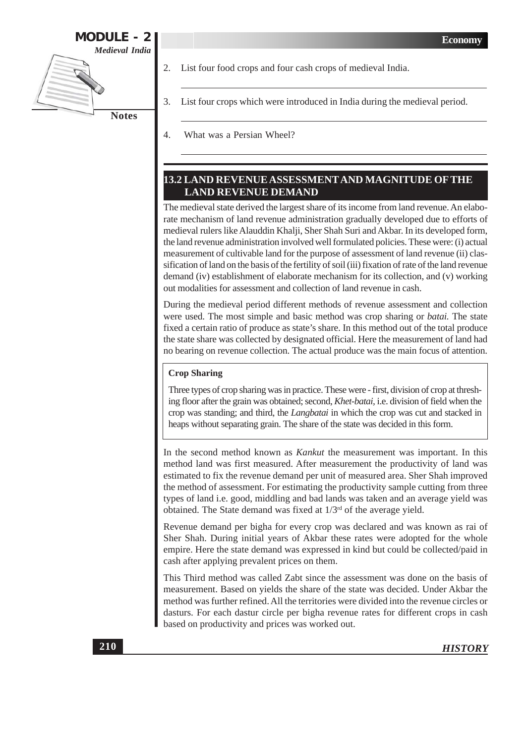

- 2. List four food crops and four cash crops of medieval India.
- 3. List four crops which were introduced in India during the medieval period.
- $\overline{4}$ What was a Persian Wheel?

# **13.2 LAND REVENUE ASSESSMENT AND MAGNITUDE OF THE LAND REVENUE DEMAND**

The medieval state derived the largest share of its income from land revenue. An elaborate mechanism of land revenue administration gradually developed due to efforts of medieval rulers like Alauddin Khalji, Sher Shah Suri and Akbar. In its developed form, the land revenue administration involved well formulated policies. These were: (i) actual measurement of cultivable land for the purpose of assessment of land revenue (ii) classification of land on the basis of the fertility of soil (iii) fixation of rate of the land revenue demand (iv) establishment of elaborate mechanism for its collection, and (v) working out modalities for assessment and collection of land revenue in cash.

During the medieval period different methods of revenue assessment and collection were used. The most simple and basic method was crop sharing or *batai*. The state fixed a certain ratio of produce as state's share. In this method out of the total produce the state share was collected by designated official. Here the measurement of land had no bearing on revenue collection. The actual produce was the main focus of attention.

### **Crop Sharing**

Three types of crop sharing was in practice. These were - first, division of crop at threshing floor after the grain was obtained; second, Khet-batai, i.e. division of field when the crop was standing; and third, the *Langbatai* in which the crop was cut and stacked in heaps without separating grain. The share of the state was decided in this form.

In the second method known as *Kankut* the measurement was important. In this method land was first measured. After measurement the productivity of land was estimated to fix the revenue demand per unit of measured area. Sher Shah improved the method of assessment. For estimating the productivity sample cutting from three types of land i.e. good, middling and bad lands was taken and an average yield was obtained. The State demand was fixed at  $1/3^{rd}$  of the average yield.

Revenue demand per bigha for every crop was declared and was known as rai of Sher Shah. During initial years of Akbar these rates were adopted for the whole empire. Here the state demand was expressed in kind but could be collected/paid in cash after applying prevalent prices on them.

This Third method was called Zabt since the assessment was done on the basis of measurement. Based on yields the share of the state was decided. Under Akbar the method was further refined. All the territories were divided into the revenue circles or dasturs. For each dastur circle per bigha revenue rates for different crops in cash based on productivity and prices was worked out.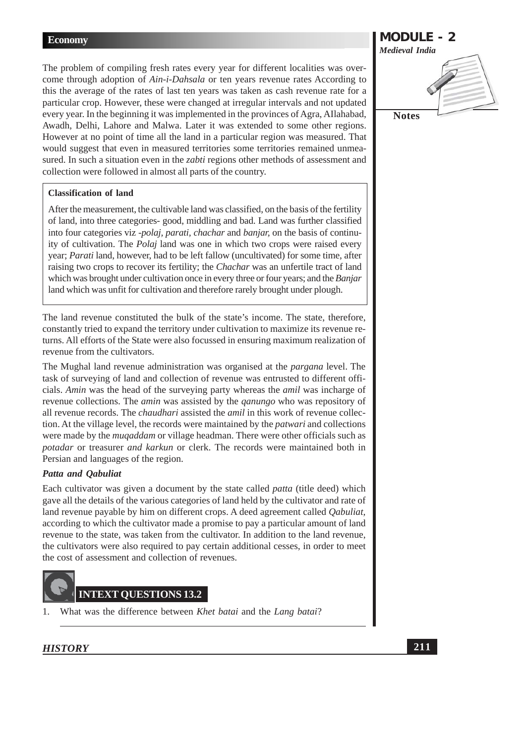The problem of compiling fresh rates every year for different localities was overcome through adoption of Ain-i-Dahsala or ten years revenue rates According to this the average of the rates of last ten years was taken as cash revenue rate for a particular crop. However, these were changed at irregular intervals and not updated every year. In the beginning it was implemented in the provinces of Agra, Allahabad, Awadh, Delhi, Lahore and Malwa. Later it was extended to some other regions. However at no point of time all the land in a particular region was measured. That would suggest that even in measured territories some territories remained unmeasured. In such a situation even in the *zabti* regions other methods of assessment and collection were followed in almost all parts of the country.

# **Classification of land**

After the measurement, the cultivable land was classified, on the basis of the fertility of land, into three categories-good, middling and bad. Land was further classified into four categories viz *-polaj, parati, chachar* and *banjar*, on the basis of continuity of cultivation. The *Polaj* land was one in which two crops were raised every year; Parati land, however, had to be left fallow (uncultivated) for some time, after raising two crops to recover its fertility; the *Chachar* was an unfertile tract of land which was brought under cultivation once in every three or four years; and the Banjar land which was unfit for cultivation and therefore rarely brought under plough.

The land revenue constituted the bulk of the state's income. The state, therefore, constantly tried to expand the territory under cultivation to maximize its revenue returns. All efforts of the State were also focussed in ensuring maximum realization of revenue from the cultivators.

The Mughal land revenue administration was organised at the *pargana* level. The task of surveying of land and collection of revenue was entrusted to different officials. Amin was the head of the surveying party whereas the *amil* was incharge of revenue collections. The *amin* was assisted by the *ganungo* who was repository of all revenue records. The *chaudhari* assisted the *amil* in this work of revenue collection. At the village level, the records were maintained by the *patwari* and collections were made by the *mugaddam* or village headman. There were other officials such as potadar or treasurer and karkun or clerk. The records were maintained both in Persian and languages of the region.

# Patta and Qabuliat

Each cultivator was given a document by the state called *patta* (title deed) which gave all the details of the various categories of land held by the cultivator and rate of land revenue payable by him on different crops. A deed agreement called *Qabuliat*, according to which the cultivator made a promise to pay a particular amount of land revenue to the state, was taken from the cultivator. In addition to the land revenue, the cultivators were also required to pay certain additional cesses, in order to meet the cost of assessment and collection of revenues.



 $\mathbf{1}$ What was the difference between Khet batai and the Lang batai?

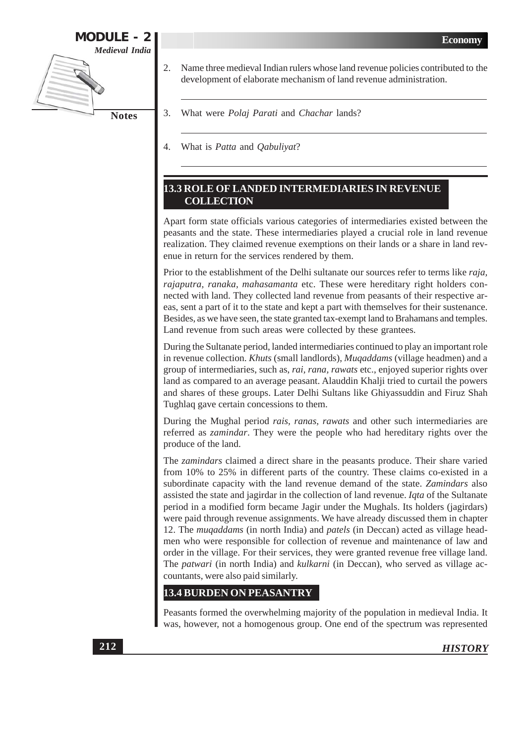

- Name three medieval Indian rulers whose land revenue policies contributed to the 2. development of elaborate mechanism of land revenue administration.
	- What were *Polaj Parati* and *Chachar* lands?
	- What is *Patta* and *Qabuliyat*?  $\overline{4}$ .

# **13.3 ROLE OF LANDED INTERMEDIARIES IN REVENUE COLLECTION**

Apart form state officials various categories of intermediaries existed between the peasants and the state. These intermediaries played a crucial role in land revenue realization. They claimed revenue exemptions on their lands or a share in land revenue in return for the services rendered by them.

Prior to the establishment of the Delhi sultanate our sources refer to terms like *raja*, rajaputra, ranaka, mahasamanta etc. These were hereditary right holders connected with land. They collected land revenue from peasants of their respective areas, sent a part of it to the state and kept a part with themselves for their sustenance. Besides, as we have seen, the state granted tax-exempt land to Brahamans and temples. Land revenue from such areas were collected by these grantees.

During the Sultanate period, landed intermediaries continued to play an important role in revenue collection. Khuts (small landlords), Muqaddams (village headmen) and a group of intermediaries, such as, rai, rana, rawats etc., enjoyed superior rights over land as compared to an average peasant. Alauddin Khalji tried to curtail the powers and shares of these groups. Later Delhi Sultans like Ghiyassuddin and Firuz Shah Tughlaq gave certain concessions to them.

During the Mughal period *rais, ranas, rawats* and other such intermediaries are referred as *zamindar*. They were the people who had hereditary rights over the produce of the land.

The *zamindars* claimed a direct share in the peasants produce. Their share varied from 10% to 25% in different parts of the country. These claims co-existed in a subordinate capacity with the land revenue demand of the state. Zamindars also assisted the state and jagirdar in the collection of land revenue. *Iqta* of the Sultanate period in a modified form became Jagir under the Mughals. Its holders (jagirdars) were paid through revenue assignments. We have already discussed them in chapter 12. The *mugaddams* (in north India) and *patels* (in Deccan) acted as village headmen who were responsible for collection of revenue and maintenance of law and order in the village. For their services, they were granted revenue free village land. The patwari (in north India) and kulkarni (in Deccan), who served as village accountants, were also paid similarly.

# **13.4 BURDEN ON PEASANTRY**

Peasants formed the overwhelming majority of the population in medieval India. It was, however, not a homogenous group. One end of the spectrum was represented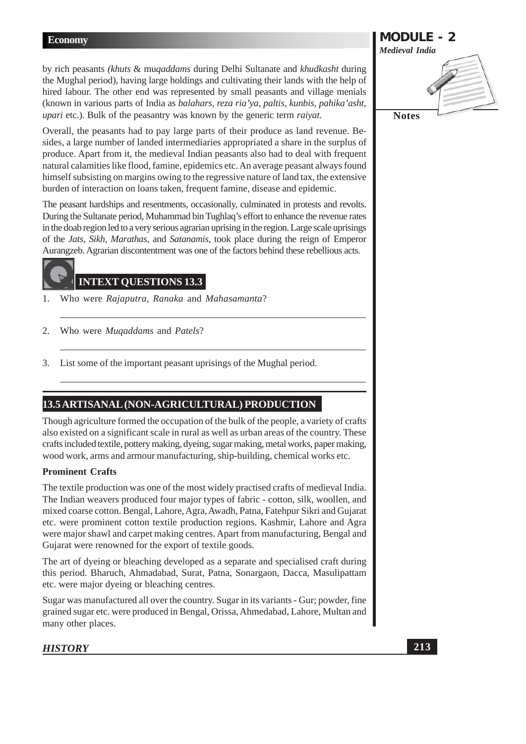by rich peasants (khuts & mugaddams during Delhi Sultanate and khudkasht during the Mughal period), having large holdings and cultivating their lands with the help of hired labour. The other end was represented by small peasants and village menials (known in various parts of India as *balahars, reza ria'va, paltis, kunbis, pahika'asht*, *upari* etc.). Bulk of the peasantry was known by the generic term *raivat*.

Overall, the peasants had to pay large parts of their produce as land revenue. Besides, a large number of landed intermediaries appropriated a share in the surplus of produce. Apart from it, the medieval Indian peasants also had to deal with frequent natural calamities like flood, famine, epidemics etc. An average peasant always found himself subsisting on margins owing to the regressive nature of land tax, the extensive burden of interaction on loans taken, frequent famine, disease and epidemic.

The peasant hardships and resentments, occasionally, culminated in protests and revolts. During the Sultanate period, Muhammad bin Tughlaq's effort to enhance the revenue rates in the doab region led to a very serious agrarian uprising in the region. Large scale uprisings of the Jats, Sikh, Marathas, and Satanamis, took place during the reign of Emperor Aurangzeb. Agrarian discontentment was one of the factors behind these rebellious acts.

# **INTEXT QUESTIONS 13.3**

- Who were Rajaputra, Ranaka and Mahasamanta?  $\mathbf{1}$
- $\overline{2}$ . Who were *Muqaddams* and *Patels*?
- List some of the important peasant uprisings of the Mughal period. 3.

# 13.5 ARTISANAL (NON-AGRICULTURAL) PRODUCTION

Though agriculture formed the occupation of the bulk of the people, a variety of crafts also existed on a significant scale in rural as well as urban areas of the country. These crafts included textile, pottery making, dyeing, sugar making, metal works, paper making, wood work, arms and armour manufacturing, ship-building, chemical works etc.

# **Prominent Crafts**

The textile production was one of the most widely practised crafts of medieval India. The Indian weavers produced four major types of fabric - cotton, silk, woollen, and mixed coarse cotton. Bengal, Lahore, Agra, Awadh, Patna, Fatehpur Sikri and Gujarat etc. were prominent cotton textile production regions. Kashmir, Lahore and Agra were major shawl and carpet making centres. Apart from manufacturing, Bengal and Gujarat were renowned for the export of textile goods.

The art of dyeing or bleaching developed as a separate and specialised craft during this period. Bharuch, Ahmadabad, Surat, Patna, Sonargaon, Dacca, Masulipattam etc. were major dyeing or bleaching centres.

Sugar was manufactured all over the country. Sugar in its variants - Gur; powder, fine grained sugar etc. were produced in Bengal, Orissa, Ahmedabad, Lahore, Multan and many other places.

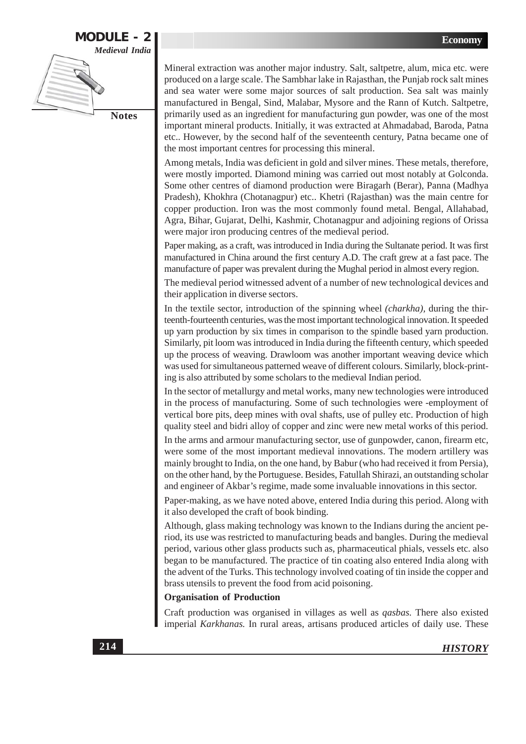

Mineral extraction was another major industry. Salt, saltpetre, alum, mica etc. were produced on a large scale. The Sambhar lake in Rajasthan, the Punjab rock salt mines and sea water were some major sources of salt production. Sea salt was mainly manufactured in Bengal, Sind, Malabar, Mysore and the Rann of Kutch. Saltpetre, primarily used as an ingredient for manufacturing gun powder, was one of the most important mineral products. Initially, it was extracted at Ahmadabad, Baroda, Patna etc.. However, by the second half of the seventeenth century, Patna became one of the most important centres for processing this mineral.

Among metals, India was deficient in gold and silver mines. These metals, therefore, were mostly imported. Diamond mining was carried out most notably at Golconda. Some other centres of diamond production were Biragarh (Berar), Panna (Madhya Pradesh), Khokhra (Chotanagpur) etc.. Khetri (Rajasthan) was the main centre for copper production. Iron was the most commonly found metal. Bengal, Allahabad, Agra, Bihar, Gujarat, Delhi, Kashmir, Chotanagpur and adjoining regions of Orissa were major iron producing centres of the medieval period.

Paper making, as a craft, was introduced in India during the Sultanate period. It was first manufactured in China around the first century A.D. The craft grew at a fast pace. The manufacture of paper was prevalent during the Mughal period in almost every region.

The medieval period witnessed advent of a number of new technological devices and their application in diverse sectors.

In the textile sector, introduction of the spinning wheel *(charkha)*, during the thirteenth-fourteenth centuries, was the most important technological innovation. It speeded up yarn production by six times in comparison to the spindle based yarn production. Similarly, pit loom was introduced in India during the fifteenth century, which speeded up the process of weaving. Drawloom was another important weaving device which was used for simultaneous patterned weave of different colours. Similarly, block-printing is also attributed by some scholars to the medieval Indian period.

In the sector of metallurgy and metal works, many new technologies were introduced in the process of manufacturing. Some of such technologies were -employment of vertical bore pits, deep mines with oval shafts, use of pulley etc. Production of high quality steel and bidri alloy of copper and zinc were new metal works of this period.

In the arms and armour manufacturing sector, use of gunpowder, canon, firearm etc, were some of the most important medieval innovations. The modern artillery was mainly brought to India, on the one hand, by Babur (who had received it from Persia), on the other hand, by the Portuguese. Besides, Fatullah Shirazi, an outstanding scholar and engineer of Akbar's regime, made some invaluable innovations in this sector.

Paper-making, as we have noted above, entered India during this period. Along with it also developed the craft of book binding.

Although, glass making technology was known to the Indians during the ancient period, its use was restricted to manufacturing beads and bangles. During the medieval period, various other glass products such as, pharmaceutical phials, vessels etc. also began to be manufactured. The practice of tin coating also entered India along with the advent of the Turks. This technology involved coating of tin inside the copper and brass utensils to prevent the food from acid poisoning.

# **Organisation of Production**

Craft production was organised in villages as well as *qasbas*. There also existed imperial Karkhanas. In rural areas, artisans produced articles of daily use. These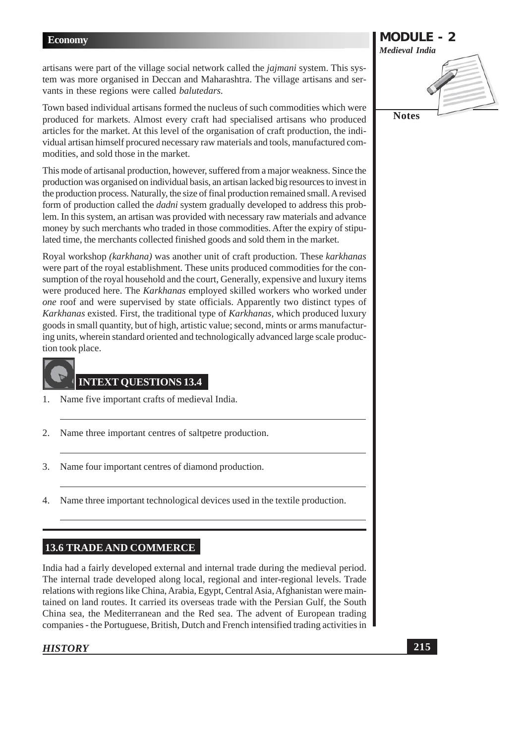artisans were part of the village social network called the *jajmani* system. This system was more organised in Deccan and Maharashtra. The village artisans and servants in these regions were called *balutedars*.

Town based individual artisans formed the nucleus of such commodities which were produced for markets. Almost every craft had specialised artisans who produced articles for the market. At this level of the organisation of craft production, the individual artisan himself procured necessary raw materials and tools, manufactured commodities, and sold those in the market.

This mode of artisanal production, however, suffered from a major weakness. Since the production was organised on individual basis, an artisan lacked big resources to invest in the production process. Naturally, the size of final production remained small. A revised form of production called the *dadni* system gradually developed to address this problem. In this system, an artisan was provided with necessary raw materials and advance money by such merchants who traded in those commodities. After the expiry of stipulated time, the merchants collected finished goods and sold them in the market.

Royal workshop *(karkhana)* was another unit of craft production. These karkhanas were part of the royal establishment. These units produced commodities for the consumption of the royal household and the court, Generally, expensive and luxury items were produced here. The Karkhanas employed skilled workers who worked under one roof and were supervised by state officials. Apparently two distinct types of Karkhanas existed. First, the traditional type of Karkhanas, which produced luxury goods in small quantity, but of high, artistic value; second, mints or arms manufacturing units, wherein standard oriented and technologically advanced large scale production took place.



# **INTEXT QUESTIONS 13.4**

- Name five important crafts of medieval India.  $\mathbf{1}$
- $\overline{2}$ . Name three important centres of saltpetre production.
- 3. Name four important centres of diamond production.
- Name three important technological devices used in the textile production.  $\overline{4}$ .

# **13.6 TRADE AND COMMERCE**

India had a fairly developed external and internal trade during the medieval period. The internal trade developed along local, regional and inter-regional levels. Trade relations with regions like China, Arabia, Egypt, Central Asia, Afghanistan were maintained on land routes. It carried its overseas trade with the Persian Gulf, the South China sea, the Mediterranean and the Red sea. The advent of European trading companies - the Portuguese, British, Dutch and French intensified trading activities in

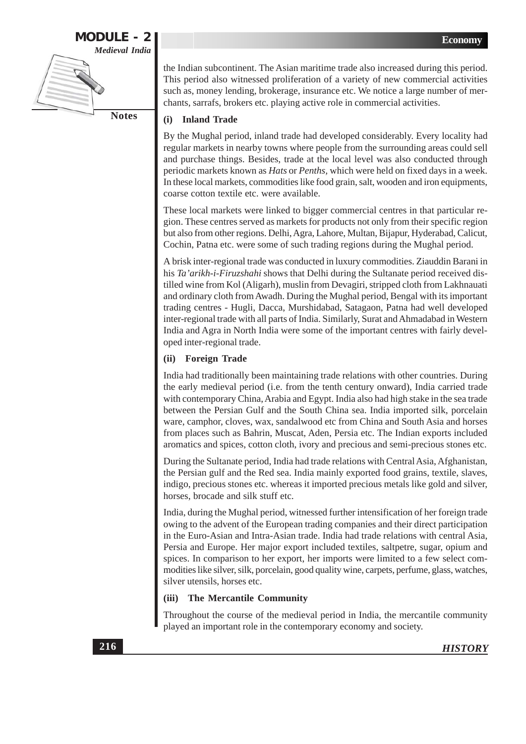# **MODULE - 2 Medieval India Notes**

the Indian subcontinent. The Asian maritime trade also increased during this period. This period also witnessed proliferation of a variety of new commercial activities such as, money lending, brokerage, insurance etc. We notice a large number of merchants, sarrafs, brokers etc. playing active role in commercial activities.

#### $(i)$ **Inland Trade**

By the Mughal period, inland trade had developed considerably. Every locality had regular markets in nearby towns where people from the surrounding areas could sell and purchase things. Besides, trade at the local level was also conducted through periodic markets known as *Hats* or *Penths*, which were held on fixed days in a week. In these local markets, commodities like food grain, salt, wooden and iron equipments, coarse cotton textile etc. were available.

These local markets were linked to bigger commercial centres in that particular region. These centres served as markets for products not only from their specific region but also from other regions. Delhi, Agra, Lahore, Multan, Bijapur, Hyderabad, Calicut, Cochin, Patna etc. were some of such trading regions during the Mughal period.

A brisk inter-regional trade was conducted in luxury commodities. Ziauddin Barani in his Ta'arikh-i-Firuzshahi shows that Delhi during the Sultanate period received distilled wine from Kol (Aligarh), muslin from Devagiri, stripped cloth from Lakhnauati and ordinary cloth from Awadh. During the Mughal period, Bengal with its important trading centres - Hugli, Dacca, Murshidabad, Satagaon, Patna had well developed inter-regional trade with all parts of India. Similarly, Surat and Ahmadabad in Western India and Agra in North India were some of the important centres with fairly developed inter-regional trade.

# (ii) Foreign Trade

India had traditionally been maintaining trade relations with other countries. During the early medieval period (i.e. from the tenth century onward), India carried trade with contemporary China, Arabia and Egypt. India also had high stake in the sea trade between the Persian Gulf and the South China sea. India imported silk, porcelain ware, camphor, cloves, wax, sandalwood etc from China and South Asia and horses from places such as Bahrin, Muscat, Aden, Persia etc. The Indian exports included aromatics and spices, cotton cloth, ivory and precious and semi-precious stones etc.

During the Sultanate period, India had trade relations with Central Asia, Afghanistan, the Persian gulf and the Red sea. India mainly exported food grains, textile, slaves, indigo, precious stones etc. whereas it imported precious metals like gold and silver, horses, brocade and silk stuff etc.

India, during the Mughal period, witnessed further intensification of her foreign trade owing to the advent of the European trading companies and their direct participation in the Euro-Asian and Intra-Asian trade. India had trade relations with central Asia, Persia and Europe. Her major export included textiles, saltpetre, sugar, opium and spices. In comparison to her export, her imports were limited to a few select commodities like silver, silk, porcelain, good quality wine, carpets, perfume, glass, watches, silver utensils, horses etc.

#### **The Mercantile Community**  $(iii)$

Throughout the course of the medieval period in India, the mercantile community played an important role in the contemporary economy and society.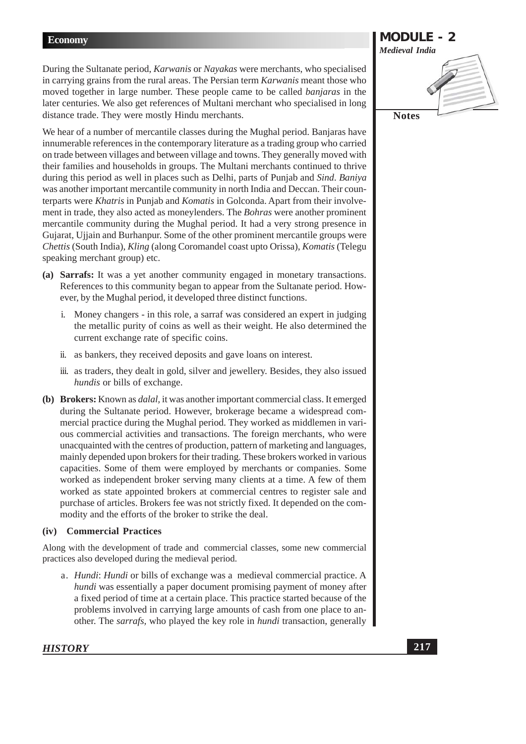During the Sultanate period, *Karwanis* or *Nayakas* were merchants, who specialised in carrying grains from the rural areas. The Persian term *Karwanis* meant those who moved together in large number. These people came to be called *banjaras* in the later centuries. We also get references of Multani merchant who specialised in long distance trade. They were mostly Hindu merchants.

We hear of a number of mercantile classes during the Mughal period. Banjaras have innumerable references in the contemporary literature as a trading group who carried on trade between villages and between village and towns. They generally moved with their families and households in groups. The Multani merchants continued to thrive during this period as well in places such as Delhi, parts of Punjab and Sind. Baniya was another important mercantile community in north India and Deccan. Their counterparts were Khatris in Punjab and Komatis in Golconda. Apart from their involvement in trade, they also acted as moneylenders. The *Bohras* were another prominent mercantile community during the Mughal period. It had a very strong presence in Gujarat, Ujjain and Burhanpur. Some of the other prominent mercantile groups were Chettis (South India), Kling (along Coromandel coast upto Orissa), Komatis (Telegu speaking merchant group) etc.

- (a) Sarrafs: It was a yet another community engaged in monetary transactions. References to this community began to appear from the Sultanate period. However, by the Mughal period, it developed three distinct functions.
	- i. Money changers in this role, a sarraf was considered an expert in judging the metallic purity of coins as well as their weight. He also determined the current exchange rate of specific coins.
	- ii. as bankers, they received deposits and gave loans on interest.
	- iii. as traders, they dealt in gold, silver and jewellery. Besides, they also issued hundis or bills of exchange.
- (b) Brokers: Known as *dalal*, it was another important commercial class. It emerged during the Sultanate period. However, brokerage became a widespread commercial practice during the Mughal period. They worked as middlemen in various commercial activities and transactions. The foreign merchants, who were unacquainted with the centres of production, pattern of marketing and languages, mainly depended upon brokers for their trading. These brokers worked in various capacities. Some of them were employed by merchants or companies. Some worked as independent broker serving many clients at a time. A few of them worked as state appointed brokers at commercial centres to register sale and purchase of articles. Brokers fee was not strictly fixed. It depended on the commodity and the efforts of the broker to strike the deal.

# (iv) Commercial Practices

Along with the development of trade and commercial classes, some new commercial practices also developed during the medieval period.

a. Hundi: Hundi or bills of exchange was a medieval commercial practice. A *hundi* was essentially a paper document promising payment of money after a fixed period of time at a certain place. This practice started because of the problems involved in carrying large amounts of cash from one place to another. The *sarrafs*, who played the key role in *hundi* transaction, generally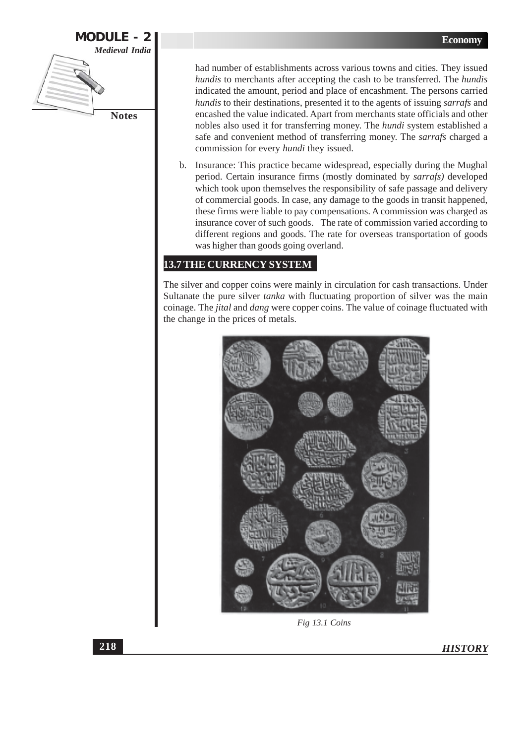

had number of establishments across various towns and cities. They issued hundis to merchants after accepting the cash to be transferred. The hundis indicated the amount, period and place of encashment. The persons carried hundis to their destinations, presented it to the agents of issuing sarrafs and encashed the value indicated. Apart from merchants state officials and other nobles also used it for transferring money. The *hundi* system established a safe and convenient method of transferring money. The sarrafs charged a commission for every *hundi* they issued.

b. Insurance: This practice became widespread, especially during the Mughal period. Certain insurance firms (mostly dominated by sarrafs) developed which took upon themselves the responsibility of safe passage and delivery of commercial goods. In case, any damage to the goods in transit happened, these firms were liable to pay compensations. A commission was charged as insurance cover of such goods. The rate of commission varied according to different regions and goods. The rate for overseas transportation of goods was higher than goods going overland.

# **13.7 THE CURRENCY SYSTEM**

The silver and copper coins were mainly in circulation for cash transactions. Under Sultanate the pure silver *tanka* with fluctuating proportion of silver was the main coinage. The *jital* and *dang* were copper coins. The value of coinage fluctuated with the change in the prices of metals.



Fig 13.1 Coins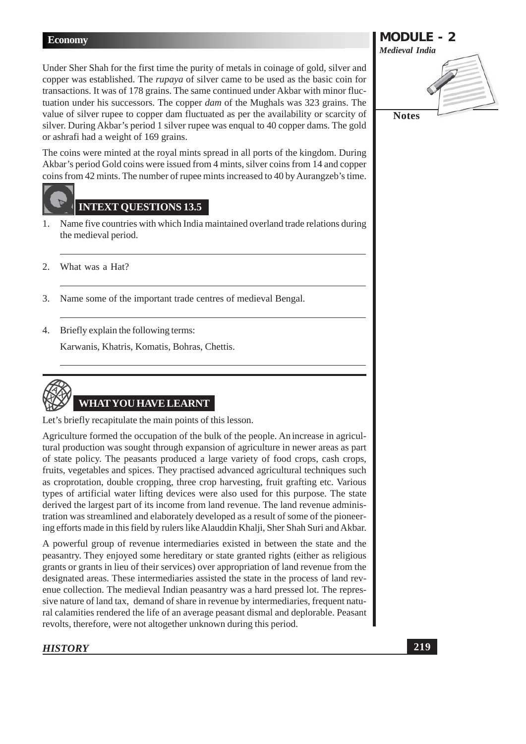Under Sher Shah for the first time the purity of metals in coinage of gold, silver and copper was established. The *rupaya* of silver came to be used as the basic coin for transactions. It was of 178 grains. The same continued under Akbar with minor fluctuation under his successors. The copper *dam* of the Mughals was 323 grains. The value of silver rupee to copper dam fluctuated as per the availability or scarcity of silver. During Akbar's period 1 silver rupee was enqual to 40 copper dams. The gold or ashrafi had a weight of 169 grains.

The coins were minted at the royal mints spread in all ports of the kingdom. During Akbar's period Gold coins were issued from 4 mints, silver coins from 14 and copper coins from 42 mints. The number of rupe mints increased to 40 by Aurangzeb's time.

# **INTEXT QUESTIONS 13.5**

- Name five countries with which India maintained overland trade relations during  $1.$ the medieval period.
- $2.$ What was a Hat?
- Name some of the important trade centres of medieval Bengal.  $\mathfrak{Z}$ .
- 4. Briefly explain the following terms:

Karwanis, Khatris, Komatis, Bohras, Chettis.



Let's briefly recapitulate the main points of this lesson.

Agriculture formed the occupation of the bulk of the people. An increase in agricultural production was sought through expansion of agriculture in newer areas as part of state policy. The peasants produced a large variety of food crops, cash crops, fruits, vegetables and spices. They practised advanced agricultural techniques such as croprotation, double cropping, three crop harvesting, fruit grafting etc. Various types of artificial water lifting devices were also used for this purpose. The state derived the largest part of its income from land revenue. The land revenue administration was streamlined and elaborately developed as a result of some of the pioneering efforts made in this field by rulers like Alauddin Khalji, Sher Shah Suri and Akbar.

A powerful group of revenue intermediaries existed in between the state and the peasantry. They enjoyed some hereditary or state granted rights (either as religious grants or grants in lieu of their services) over appropriation of land revenue from the designated areas. These intermediaries assisted the state in the process of land revenue collection. The medieval Indian peasantry was a hard pressed lot. The repressive nature of land tax, demand of share in revenue by intermediaries, frequent natural calamities rendered the life of an average peasant dismal and deplorable. Peasant revolts, therefore, were not altogether unknown during this period.

# **HISTORY**

**MODULE - 2 Medieval India Notes**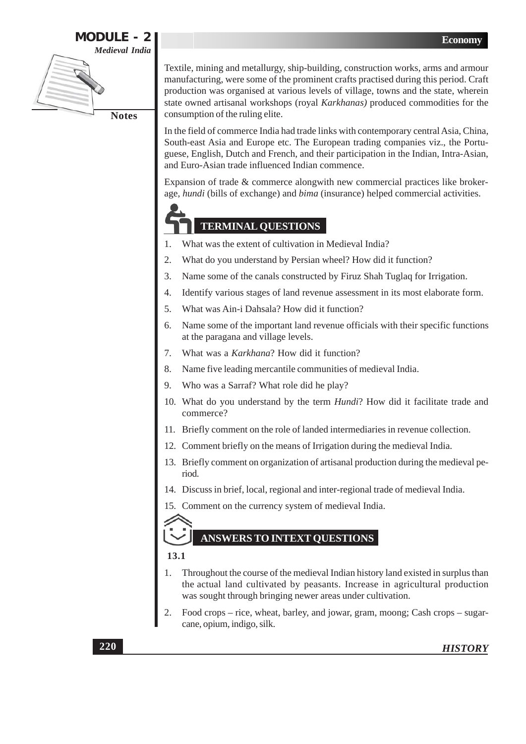

Textile, mining and metallurgy, ship-building, construction works, arms and armour manufacturing, were some of the prominent crafts practised during this period. Craft production was organised at various levels of village, towns and the state, wherein state owned artisanal workshops (royal Karkhanas) produced commodities for the consumption of the ruling elite.

In the field of commerce India had trade links with contemporary central Asia, China, South-east Asia and Europe etc. The European trading companies viz., the Portuguese, English, Dutch and French, and their participation in the Indian, Intra-Asian, and Euro-Asian trade influenced Indian commence.

Expansion of trade & commerce alongwith new commercial practices like brokerage, hundi (bills of exchange) and bima (insurance) helped commercial activities.

# **TERMINAL QUESTIONS**

- What was the extent of cultivation in Medieval India? 1.
- 2. What do you understand by Persian wheel? How did it function?
- $\overline{3}$ . Name some of the canals constructed by Firuz Shah Tuglaq for Irrigation.
- Identify various stages of land revenue assessment in its most elaborate form. 4.
- $5.$ What was Ain-i Dahsala? How did it function?
- Name some of the important land revenue officials with their specific functions 6 at the paragana and village levels.
- What was a Karkhana? How did it function? 7.
- Name five leading mercantile communities of medieval India. 8.
- Who was a Sarraf? What role did he play? 9.
- 10. What do you understand by the term *Hundi*? How did it facilitate trade and commerce?
- 11. Briefly comment on the role of landed intermediaries in revenue collection.
- 12. Comment briefly on the means of Irrigation during the medieval India.
- 13. Briefly comment on organization of artisanal production during the medieval period.
- 14. Discuss in brief, local, regional and inter-regional trade of medieval India.
- 15. Comment on the currency system of medieval India.

# **ANSWERS TO INTEXT OUESTIONS**

13.1

- Throughout the course of the medieval Indian history land existed in surplus than the actual land cultivated by peasants. Increase in agricultural production was sought through bringing newer areas under cultivation.
- $\overline{2}$ . Food crops – rice, wheat, barley, and jowar, gram, moong; Cash crops – sugarcane, opium, indigo, silk.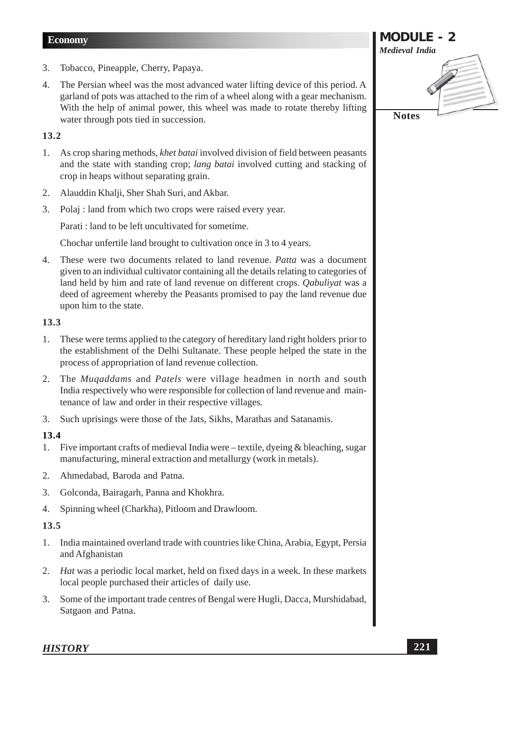- 3. Tobacco, Pineapple, Cherry, Papaya.
- The Persian wheel was the most advanced water lifting device of this period. A  $\overline{4}$ . garland of pots was attached to the rim of a wheel along with a gear mechanism. With the help of animal power, this wheel was made to rotate thereby lifting water through pots tied in succession.

# 13.2

- 1. As crop sharing methods, *khet batai* involved division of field between peasants and the state with standing crop; lang batai involved cutting and stacking of crop in heaps without separating grain.
- Alauddin Khalji, Sher Shah Suri, and Akbar. 2.
- 3. Polaj : land from which two crops were raised every year.

Parati: land to be left uncultivated for sometime.

Chochar unfertile land brought to cultivation once in 3 to 4 years.

These were two documents related to land revenue. Patta was a document  $4.$ given to an individual cultivator containing all the details relating to categories of land held by him and rate of land revenue on different crops. Oabulivat was a deed of agreement whereby the Peasants promised to pay the land revenue due upon him to the state.

# 13.3

- These were terms applied to the category of hereditary land right holders prior to  $1.$ the establishment of the Delhi Sultanate. These people helped the state in the process of appropriation of land revenue collection.
- The *Muqaddams* and *Patels* were village headmen in north and south  $2.$ India respectively who were responsible for collection of land revenue and maintenance of law and order in their respective villages.
- Such uprisings were those of the Jats, Sikhs, Marathas and Satanamis.  $3.$

# 13.4

- 1. Five important crafts of medieval India were textile, dyeing & bleaching, sugar manufacturing, mineral extraction and metallurgy (work in metals).
- $2.$ Ahmedabad, Baroda and Patna.
- $\overline{3}$ . Golconda, Bairagarh, Panna and Khokhra.
- 4. Spinning wheel (Charkha), Pitloom and Drawloom.

# 13.5

- $1.$ India maintained overland trade with countries like China, Arabia, Egypt, Persia and Afghanistan
- 2. Hat was a periodic local market, held on fixed days in a week. In these markets local people purchased their articles of daily use.
- $3.$ Some of the important trade centres of Bengal were Hugli, Dacca, Murshidabad, Satgaon and Patna.

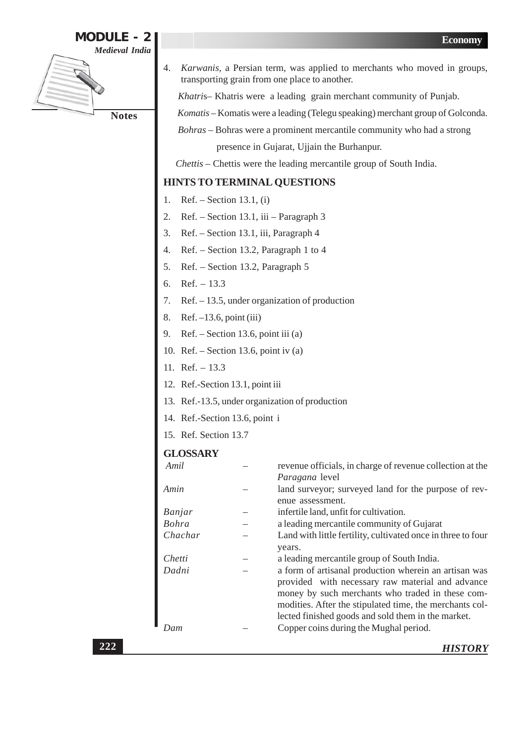

Karwanis, a Persian term, was applied to merchants who moved in groups, 4. transporting grain from one place to another.

Khatris-Khatris were a leading grain merchant community of Punjab.

Komatis - Komatis were a leading (Telegu speaking) merchant group of Golconda.

Bohras - Bohras were a prominent mercantile community who had a strong

presence in Gujarat, Ujjain the Burhanpur.

Chettis - Chettis were the leading mercantile group of South India.

# HINTS TO TERMINAL QUESTIONS

- Ref. Section 13.1, (i)  $1.$
- Ref. Section 13.1, iii Paragraph 3 2.
- Ref. Section 13.1, iii, Paragraph 4 3.
- Ref. Section 13.2, Paragraph 1 to 4  $\overline{4}$ .
- Ref. Section 13.2, Paragraph 5  $5<sub>1</sub>$
- 6.  $Ref. - 13.3$
- $Ref. 13.5$ , under organization of production  $7<sub>1</sub>$
- Ref.  $-13.6$ , point (iii) 8.
- Ref. Section 13.6, point iii (a) 9.
- 10. Ref. Section 13.6, point iv (a)
- 11. Ref.  $13.3$
- 12. Ref.-Section 13.1, point iii
- 13. Ref.-13.5, under organization of production
- 14. Ref.-Section 13.6, point i
- 15. Ref. Section 13.7

# **GLOSSARY**

| Amil         | revenue officials, in charge of revenue collection at the<br>Paragana level                                                                                                                                                                                                    |
|--------------|--------------------------------------------------------------------------------------------------------------------------------------------------------------------------------------------------------------------------------------------------------------------------------|
| Amin         | land surveyor; surveyed land for the purpose of rev-<br>enue assessment.                                                                                                                                                                                                       |
| Banjar       | infertile land, unfit for cultivation.                                                                                                                                                                                                                                         |
| <b>Bohra</b> | a leading mercantile community of Gujarat                                                                                                                                                                                                                                      |
| Chachar      | Land with little fertility, cultivated once in three to four                                                                                                                                                                                                                   |
|              | years.                                                                                                                                                                                                                                                                         |
| Chetti       | a leading mercantile group of South India.                                                                                                                                                                                                                                     |
| Dadni        | a form of artisanal production wherein an artisan was<br>provided with necessary raw material and advance<br>money by such merchants who traded in these com-<br>modities. After the stipulated time, the merchants col-<br>lected finished goods and sold them in the market. |
| Dam          | Copper coins during the Mughal period.                                                                                                                                                                                                                                         |